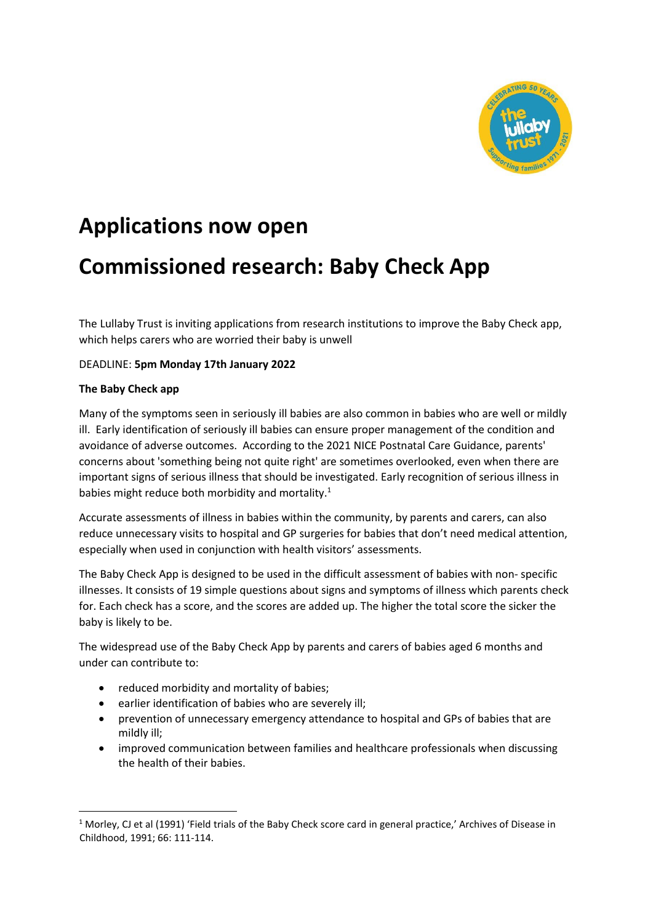

# **Applications now open**

# **Commissioned research: Baby Check App**

The Lullaby Trust is inviting applications from research institutions to improve the Baby Check app, which helps carers who are worried their baby is unwell

# DEADLINE: **5pm Monday 17th January 2022**

# **The Baby Check app**

 $\overline{a}$ 

Many of the symptoms seen in seriously ill babies are also common in babies who are well or mildly ill. Early identification of seriously ill babies can ensure proper management of the condition and avoidance of adverse outcomes. According to the 2021 NICE Postnatal Care Guidance, parents' concerns about 'something being not quite right' are sometimes overlooked, even when there are important signs of serious illness that should be investigated. Early recognition of serious illness in babies might reduce both morbidity and mortality.<sup>1</sup>

Accurate assessments of illness in babies within the community, by parents and carers, can also reduce unnecessary visits to hospital and GP surgeries for babies that don't need medical attention, especially when used in conjunction with health visitors' assessments.

The Baby Check App is designed to be used in the difficult assessment of babies with non- specific illnesses. It consists of 19 simple questions about signs and symptoms of illness which parents check for. Each check has a score, and the scores are added up. The higher the total score the sicker the baby is likely to be.

The widespread use of the Baby Check App by parents and carers of babies aged 6 months and under can contribute to:

- reduced morbidity and mortality of babies;
- earlier identification of babies who are severely ill;
- prevention of unnecessary emergency attendance to hospital and GPs of babies that are mildly ill;
- improved communication between families and healthcare professionals when discussing the health of their babies.

 $1$  Morley, CJ et al (1991) 'Field trials of the Baby Check score card in general practice,' Archives of Disease in Childhood, 1991; 66: 111-114.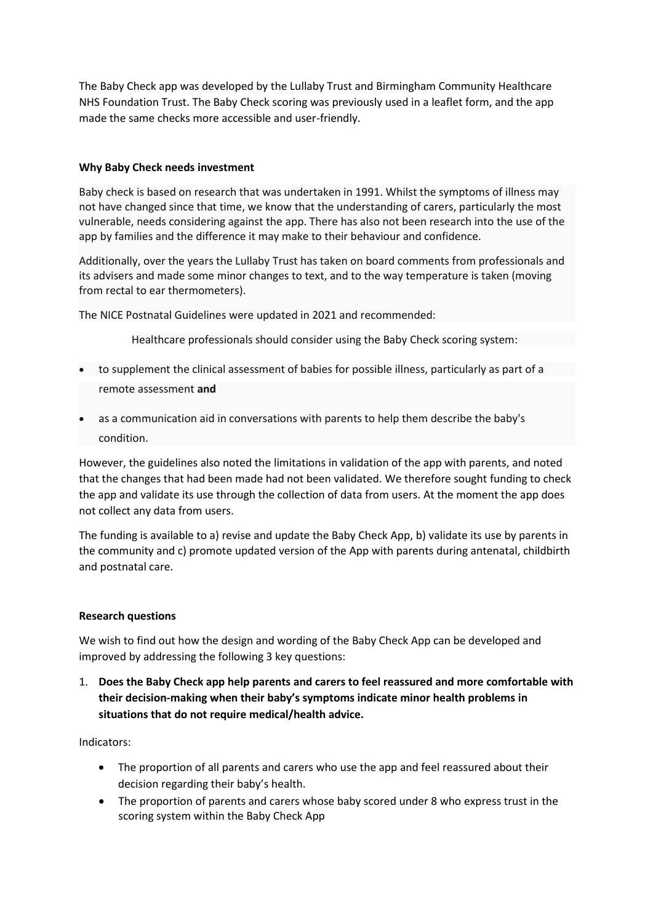The Baby Check app was developed by the Lullaby Trust and Birmingham Community Healthcare NHS Foundation Trust. The Baby Check scoring was previously used in a leaflet form, and the app made the same checks more accessible and user-friendly.

#### **Why Baby Check needs investment**

Baby check is based on research that was undertaken in 1991. Whilst the symptoms of illness may not have changed since that time, we know that the understanding of carers, particularly the most vulnerable, needs considering against the app. There has also not been research into the use of the app by families and the difference it may make to their behaviour and confidence.

Additionally, over the years the Lullaby Trust has taken on board comments from professionals and its advisers and made some minor changes to text, and to the way temperature is taken (moving from rectal to ear thermometers).

The NICE Postnatal Guidelines were updated in 2021 and recommended:

Healthcare professionals should consider using the Baby Check scoring system:

- to supplement the clinical assessment of babies for possible illness, particularly as part of a remote assessment **and**
- as a communication aid in conversations with parents to help them describe the baby's condition.

However, the guidelines also noted the limitations in validation of the app with parents, and noted that the changes that had been made had not been validated. We therefore sought funding to check the app and validate its use through the collection of data from users. At the moment the app does not collect any data from users.

The funding is available to a) revise and update the Baby Check App, b) validate its use by parents in the community and c) promote updated version of the App with parents during antenatal, childbirth and postnatal care.

#### **Research questions**

We wish to find out how the design and wording of the Baby Check App can be developed and improved by addressing the following 3 key questions:

1. **Does the Baby Check app help parents and carers to feel reassured and more comfortable with their decision-making when their baby's symptoms indicate minor health problems in situations that do not require medical/health advice.**

Indicators:

- The proportion of all parents and carers who use the app and feel reassured about their decision regarding their baby's health.
- The proportion of parents and carers whose baby scored under 8 who express trust in the scoring system within the Baby Check App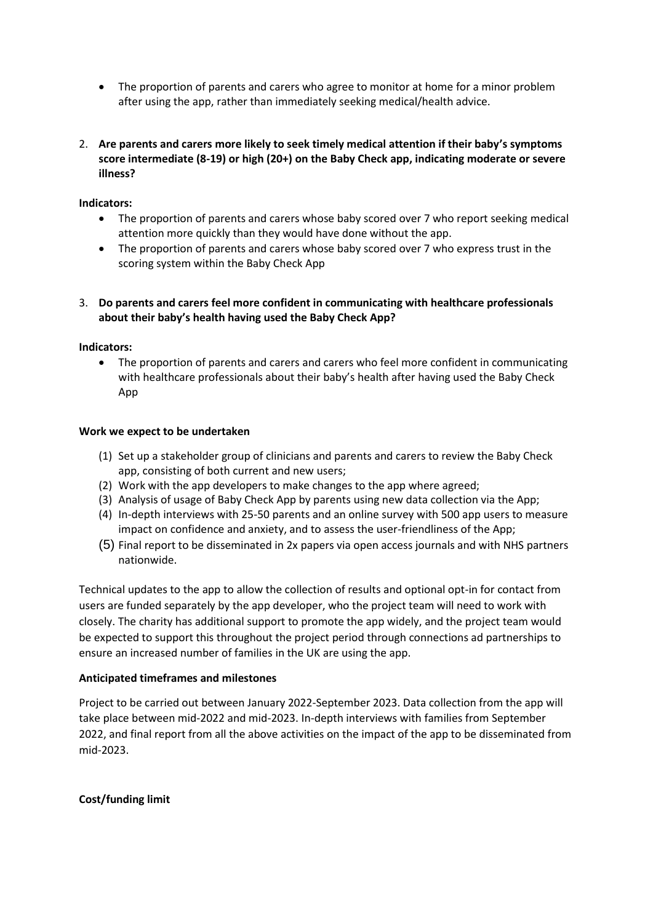- The proportion of parents and carers who agree to monitor at home for a minor problem after using the app, rather than immediately seeking medical/health advice.
- 2. **Are parents and carers more likely to seek timely medical attention if their baby's symptoms score intermediate (8-19) or high (20+) on the Baby Check app, indicating moderate or severe illness?**

# **Indicators:**

- The proportion of parents and carers whose baby scored over 7 who report seeking medical attention more quickly than they would have done without the app.
- The proportion of parents and carers whose baby scored over 7 who express trust in the scoring system within the Baby Check App

# 3. **Do parents and carers feel more confident in communicating with healthcare professionals about their baby's health having used the Baby Check App?**

#### **Indicators:**

• The proportion of parents and carers and carers who feel more confident in communicating with healthcare professionals about their baby's health after having used the Baby Check App

# **Work we expect to be undertaken**

- (1) Set up a stakeholder group of clinicians and parents and carers to review the Baby Check app, consisting of both current and new users;
- (2) Work with the app developers to make changes to the app where agreed;
- (3) Analysis of usage of Baby Check App by parents using new data collection via the App;
- (4) In-depth interviews with 25-50 parents and an online survey with 500 app users to measure impact on confidence and anxiety, and to assess the user-friendliness of the App;
- (5) Final report to be disseminated in 2x papers via open access journals and with NHS partners nationwide.

Technical updates to the app to allow the collection of results and optional opt-in for contact from users are funded separately by the app developer, who the project team will need to work with closely. The charity has additional support to promote the app widely, and the project team would be expected to support this throughout the project period through connections ad partnerships to ensure an increased number of families in the UK are using the app.

#### **Anticipated timeframes and milestones**

Project to be carried out between January 2022-September 2023. Data collection from the app will take place between mid-2022 and mid-2023. In-depth interviews with families from September 2022, and final report from all the above activities on the impact of the app to be disseminated from mid-2023.

#### **Cost/funding limit**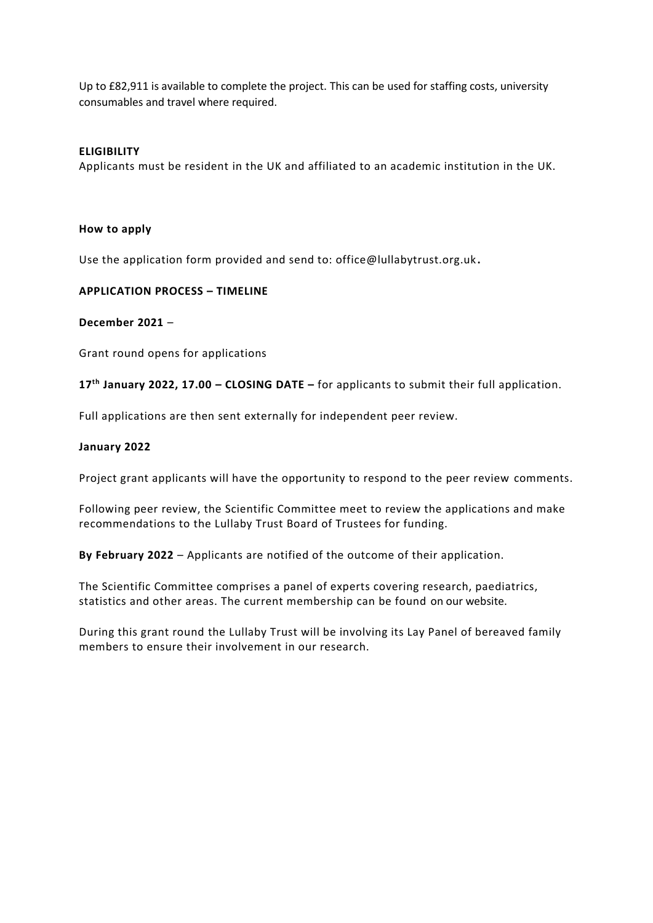Up to £82,911 is available to complete the project. This can be used for staffing costs, university consumables and travel where required.

#### **ELIGIBILITY**

Applicants must be resident in the UK and affiliated to an academic institution in the UK.

#### **How to apply**

Use the application form provided and send to: office@lullabytrust.org.uk **.**

# **APPLICATION PROCESS – TIMELINE**

#### **December 2021** –

Grant round opens for applications

**17th January 2022, 17.00 – CLOSING DATE –** for applicants to submit their full application.

Full applications are then sent externally for independent peer review.

# **January 2022**

Project grant applicants will have the opportunity to respond to the peer review comments.

Following peer review, the Scientific Committee meet to review the applications and make recommendations to the Lullaby Trust Board of Trustees for funding.

**By February 2022** – Applicants are notified of the outcome of their application.

The Scientific Committee comprises a panel of experts covering research, paediatrics, statistics and other areas. The current membership can be found on our website.

During this grant round the Lullaby Trust will be involving its Lay Panel of bereaved family members to ensure their involvement in our research.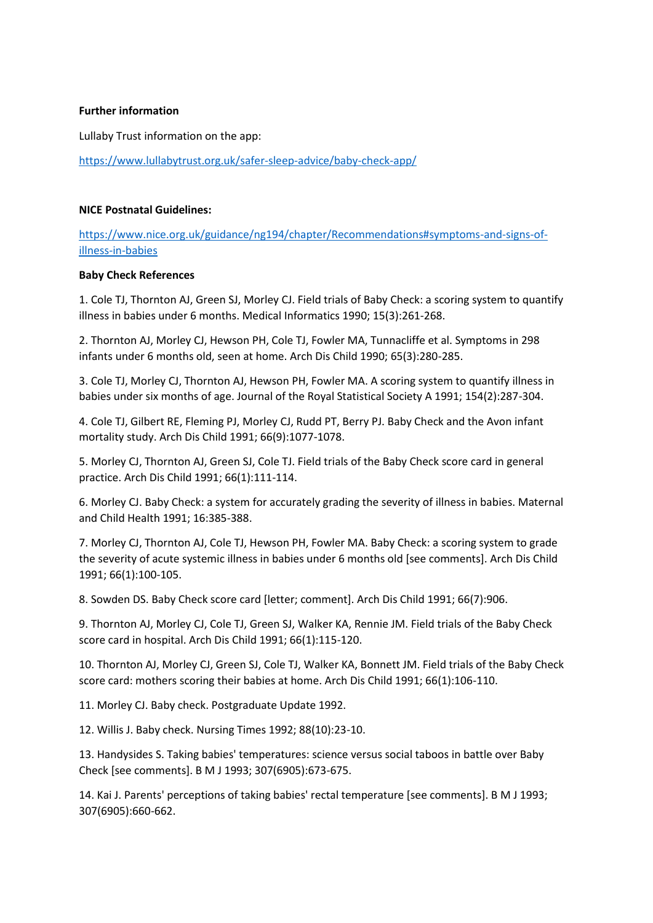#### **Further information**

Lullaby Trust information on the app:

<https://www.lullabytrust.org.uk/safer-sleep-advice/baby-check-app/>

#### **NICE Postnatal Guidelines:**

[https://www.nice.org.uk/guidance/ng194/chapter/Recommendations#symptoms-and-signs-of](https://www.nice.org.uk/guidance/ng194/chapter/Recommendations#symptoms-and-signs-of-illness-in-babies)[illness-in-babies](https://www.nice.org.uk/guidance/ng194/chapter/Recommendations#symptoms-and-signs-of-illness-in-babies)

# **Baby Check References**

1. Cole TJ, Thornton AJ, Green SJ, Morley CJ. Field trials of Baby Check: a scoring system to quantify illness in babies under 6 months. Medical Informatics 1990; 15(3):261-268.

2. Thornton AJ, Morley CJ, Hewson PH, Cole TJ, Fowler MA, Tunnacliffe et al. Symptoms in 298 infants under 6 months old, seen at home. Arch Dis Child 1990; 65(3):280-285.

3. Cole TJ, Morley CJ, Thornton AJ, Hewson PH, Fowler MA. A scoring system to quantify illness in babies under six months of age. Journal of the Royal Statistical Society A 1991; 154(2):287-304.

4. Cole TJ, Gilbert RE, Fleming PJ, Morley CJ, Rudd PT, Berry PJ. Baby Check and the Avon infant mortality study. Arch Dis Child 1991; 66(9):1077-1078.

5. Morley CJ, Thornton AJ, Green SJ, Cole TJ. Field trials of the Baby Check score card in general practice. Arch Dis Child 1991; 66(1):111-114.

6. Morley CJ. Baby Check: a system for accurately grading the severity of illness in babies. Maternal and Child Health 1991; 16:385-388.

7. Morley CJ, Thornton AJ, Cole TJ, Hewson PH, Fowler MA. Baby Check: a scoring system to grade the severity of acute systemic illness in babies under 6 months old [see comments]. Arch Dis Child 1991; 66(1):100-105.

8. Sowden DS. Baby Check score card [letter; comment]. Arch Dis Child 1991; 66(7):906.

9. Thornton AJ, Morley CJ, Cole TJ, Green SJ, Walker KA, Rennie JM. Field trials of the Baby Check score card in hospital. Arch Dis Child 1991; 66(1):115-120.

10. Thornton AJ, Morley CJ, Green SJ, Cole TJ, Walker KA, Bonnett JM. Field trials of the Baby Check score card: mothers scoring their babies at home. Arch Dis Child 1991; 66(1):106-110.

11. Morley CJ. Baby check. Postgraduate Update 1992.

12. Willis J. Baby check. Nursing Times 1992; 88(10):23-10.

13. Handysides S. Taking babies' temperatures: science versus social taboos in battle over Baby Check [see comments]. B M J 1993; 307(6905):673-675.

14. Kai J. Parents' perceptions of taking babies' rectal temperature [see comments]. B M J 1993; 307(6905):660-662.